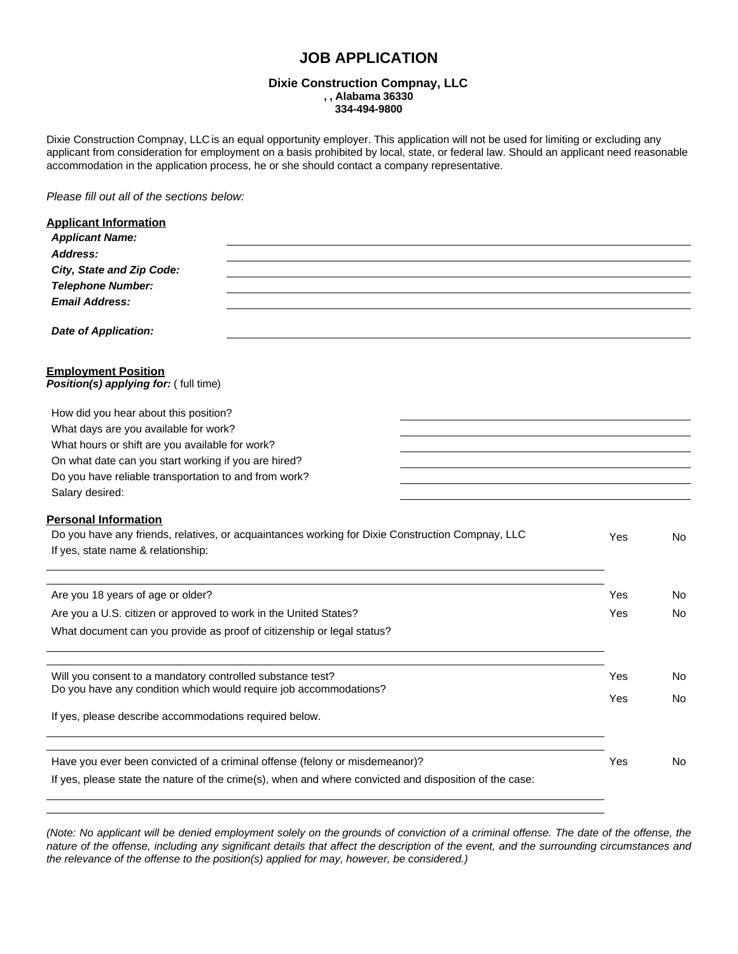# **JOB APPLICATION**

### **Dixie Construction Compnay, LLC , , Alabama 36330 334-494-9800**

Dixie Construction Compnay, LLC is an equal opportunity employer. This application will not be used for limiting or excluding any applicant from consideration for employment on a basis prohibited by local, state, or federal law. Should an applicant need reasonable accommodation in the application process, he or she should contact a company representative.

*Please fill out all of the sections below:*

| <b>Applicant Information</b>                                                                                                    |     |     |
|---------------------------------------------------------------------------------------------------------------------------------|-----|-----|
| <b>Applicant Name:</b>                                                                                                          |     |     |
| Address:                                                                                                                        |     |     |
| City, State and Zip Code:                                                                                                       |     |     |
| <b>Telephone Number:</b>                                                                                                        |     |     |
| <b>Email Address:</b>                                                                                                           |     |     |
| <b>Date of Application:</b>                                                                                                     |     |     |
| <b>Employment Position</b><br>Position(s) applying for: (full time)                                                             |     |     |
| How did you hear about this position?                                                                                           |     |     |
| What days are you available for work?                                                                                           |     |     |
| What hours or shift are you available for work?                                                                                 |     |     |
| On what date can you start working if you are hired?                                                                            |     |     |
| Do you have reliable transportation to and from work?                                                                           |     |     |
| Salary desired:                                                                                                                 |     |     |
| <b>Personal Information</b>                                                                                                     |     |     |
| Do you have any friends, relatives, or acquaintances working for Dixie Construction Compnay, LLC                                | Yes | No  |
| If yes, state name & relationship:                                                                                              |     |     |
|                                                                                                                                 |     |     |
| Are you 18 years of age or older?                                                                                               | Yes | No  |
| Are you a U.S. citizen or approved to work in the United States?                                                                | Yes | No  |
| What document can you provide as proof of citizenship or legal status?                                                          |     |     |
|                                                                                                                                 |     |     |
| Will you consent to a mandatory controlled substance test?<br>Do you have any condition which would require job accommodations? | Yes | No. |
|                                                                                                                                 | Yes | No. |
| If yes, please describe accommodations required below.                                                                          |     |     |
| Have you ever been convicted of a criminal offense (felony or misdemeanor)?                                                     | Yes | No  |
|                                                                                                                                 |     |     |
| If yes, please state the nature of the crime(s), when and where convicted and disposition of the case:                          |     |     |

(Note: No applicant will be denied employment solely on the grounds of conviction of a criminal offense. The date of the offense, the nature of the offense, including any significant details that affect the description of the event, and the surrounding circumstances and *the relevance of the offense to the position(s) applied for may, however, be considered.)*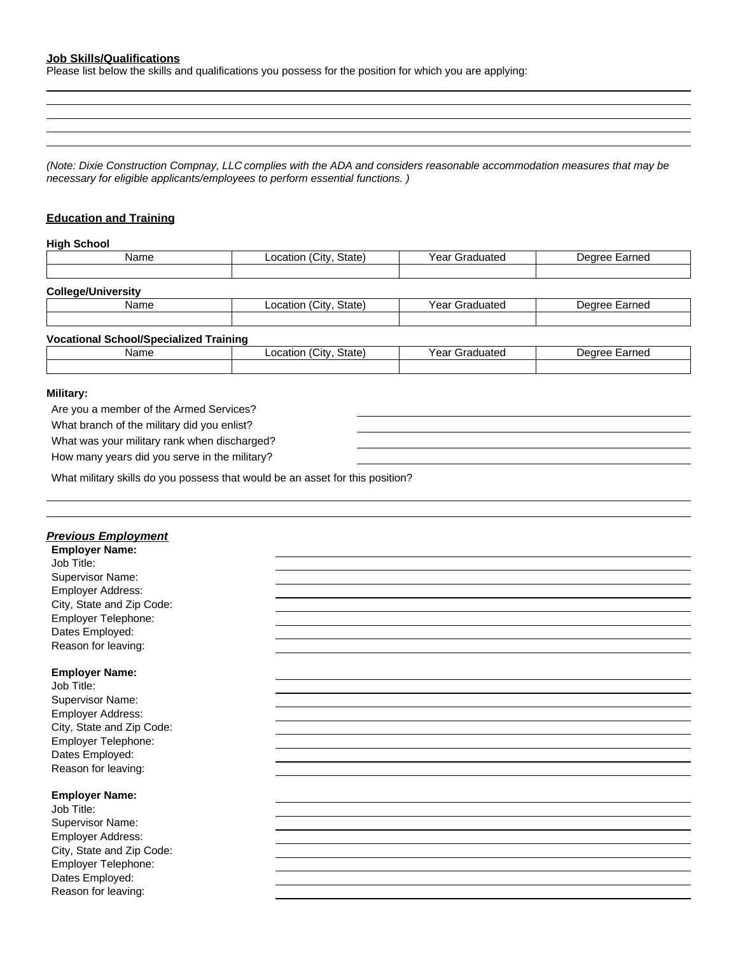## **Job Skills/Qualifications**

Please list below the skills and qualifications you possess for the position for which you are applying:

(Note: Dixie Construction Compnay, LLC complies with the ADA and considers reasonable accommodation measures that may be *necessary for eligible applicants/employees to perform essential functions. )*

## **Education and Training**

#### **High School**

| Name                                          | Location (City, State) | Year Graduated | Degree Earned |
|-----------------------------------------------|------------------------|----------------|---------------|
|                                               |                        |                |               |
| <b>College/University</b>                     |                        |                |               |
| Name                                          | Location (City, State) | Year Graduated | Degree Earned |
|                                               |                        |                |               |
| <b>Vocational School/Specialized Training</b> |                        |                |               |
| Name                                          | Location (City, State) | Year Graduated | Degree Earned |
|                                               |                        |                |               |
| $0.00114 - 0.001$                             |                        |                |               |

#### **Military:**

Are you a member of the Armed Services? What branch of the military did you enlist? What was your military rank when discharged? How many years did you serve in the military?

What military skills do you possess that would be an asset for this position?

| <u> Previous Employment</u> |  |
|-----------------------------|--|
| <b>Employer Name:</b>       |  |
| Job Title:                  |  |
| Supervisor Name:            |  |
| Employer Address:           |  |
| City, State and Zip Code:   |  |
| Employer Telephone:         |  |
| Dates Employed:             |  |
| Reason for leaving:         |  |
|                             |  |
| <b>Employer Name:</b>       |  |
| Job Title:                  |  |
| Supervisor Name:            |  |
| Employer Address:           |  |
| City, State and Zip Code:   |  |
| Employer Telephone:         |  |
| Dates Employed:             |  |
| Reason for leaving:         |  |
|                             |  |
| <b>Employer Name:</b>       |  |
| Job Title:                  |  |
| Supervisor Name:            |  |
| Employer Address:           |  |
| City, State and Zip Code:   |  |
| Employer Telephone:         |  |
| Dates Employed:             |  |
| Reason for leaving:         |  |